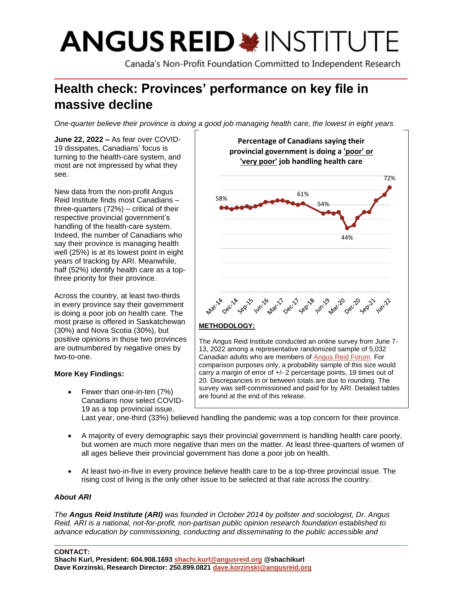# **ANGUS REID \*INSTITUTE**

Canada's Non-Profit Foundation Committed to Independent Research

# **Health check: Provinces' performance on key file in massive decline**

*One-quarter believe their province is doing a good job managing health care, the lowest in eight years*

**June 22, 2022 –** As fear over COVID-19 dissipates, Canadians' focus is turning to the health-care system, and most are not impressed by what they see.

New data from the non-profit Angus Reid Institute finds most Canadians – three-quarters (72%) – critical of their respective provincial government's handling of the health-care system. Indeed, the number of Canadians who say their province is managing health well (25%) is at its lowest point in eight years of tracking by ARI. Meanwhile, half (52%) identify health care as a topthree priority for their province.

Across the country, at least two-thirds in every province say their government is doing a poor job on health care. The most praise is offered in Saskatchewan (30%) and Nova Scotia (30%), but positive opinions in those two provinces are outnumbered by negative ones by two-to-one.

# **More Key Findings:**

• Fewer than one-in-ten (7%) Canadians now select COVID-19 as a top provincial issue.



comparison purposes only, a probability sample of this size would carry a margin of error of +/- 2 percentage points, 19 times out of 20. Discrepancies in or between totals are due to rounding. The survey was self-commissioned and paid for by ARI. Detailed tables are found at the end of this release.

Last year, one-third (33%) believed handling the pandemic was a top concern for their province.

- A majority of every demographic says their provincial government is handling health care poorly, but women are much more negative than men on the matter. At least three-quarters of women of all ages believe their provincial government has done a poor job on health.
- At least two-in-five in every province believe health care to be a top-three provincial issue. The rising cost of living is the only other issue to be selected at that rate across the country.

# *About ARI*

*The Angus Reid Institute (ARI) was founded in October 2014 by pollster and sociologist, Dr. Angus Reid. ARI is a national, not-for-profit, non-partisan public opinion research foundation established to advance education by commissioning, conducting and disseminating to the public accessible and*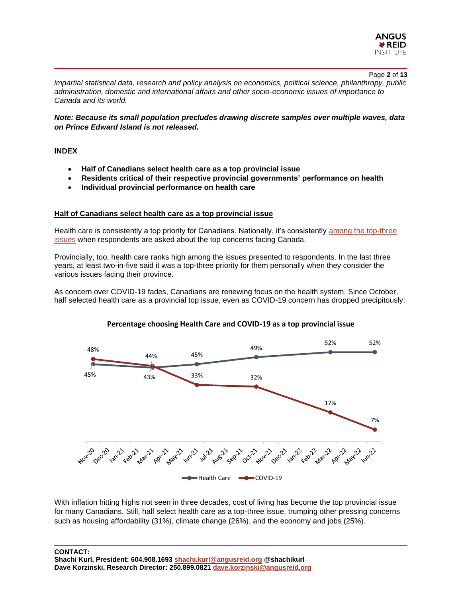

Page **2** of **13**

*impartial statistical data, research and policy analysis on economics, political science, philanthropy, public administration, domestic and international affairs and other socio-economic issues of importance to Canada and its world.*

*Note: Because its small population precludes drawing discrete samples over multiple waves, data on Prince Edward Island is not released.*

#### **INDEX**

- **Half of Canadians select health care as a top provincial issue**
- **Residents critical of their respective provincial governments' performance on health**
- **Individual provincial performance on health care**

## **Half of Canadians select health care as a top provincial issue**

Health care is consistently a top priority for Canadians. Nationally, it's consistently [among the top-three](https://angusreid.org/canadas-health-care-system/)  [issues](https://angusreid.org/canadas-health-care-system/) when respondents are asked about the top concerns facing Canada.

Provincially, too, health care ranks high among the issues presented to respondents. In the last three years, at least two-in-five said it was a top-three priority for them personally when they consider the various issues facing their province.

As concern over COVID-19 fades, Canadians are renewing focus on the health system. Since October, half selected health care as a provincial top issue, even as COVID-19 concern has dropped precipitously:





With inflation hitting highs not seen in three decades, cost of living has become the top provincial issue for many Canadians. Still, half select health care as a top-three issue, trumping other pressing concerns such as housing affordability (31%), climate change (26%), and the economy and jobs (25%).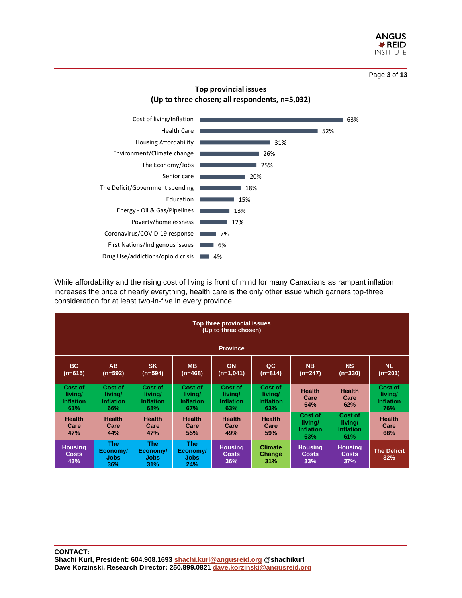

Page **3** of **13**

# **Top provincial issues (Up to three chosen; all respondents, n=5,032)**



While affordability and the rising cost of living is front of mind for many Canadians as rampant inflation increases the price of nearly everything, health care is the only other issue which garners top-three consideration for at least two-in-five in every province.

| Top three provincial issues<br>(Up to three chosen) |                                               |                                               |                                               |                                               |                                               |                                               |                                               |                                               |
|-----------------------------------------------------|-----------------------------------------------|-----------------------------------------------|-----------------------------------------------|-----------------------------------------------|-----------------------------------------------|-----------------------------------------------|-----------------------------------------------|-----------------------------------------------|
| <b>Province</b>                                     |                                               |                                               |                                               |                                               |                                               |                                               |                                               |                                               |
| BC.<br>$(n=615)$                                    | <b>AB</b><br>(n=592)                          | <b>SK</b><br>$(n=594)$                        | <b>MB</b><br>$(n=468)$                        | <b>ON</b><br>$(n=1,041)$                      | QC<br>$(n=814)$                               | <b>NB</b><br>(n=247)                          | <b>NS</b><br>$(n=330)$                        | <b>NL</b><br>(n=201)                          |
| Cost of<br>living/<br><b>Inflation</b><br>61%       | Cost of<br>living/<br><b>Inflation</b><br>66% | Cost of<br>living/<br><b>Inflation</b><br>68% | Cost of<br>living/<br><b>Inflation</b><br>67% | Cost of<br>living/<br><b>Inflation</b><br>63% | Cost of<br>living/<br><b>Inflation</b><br>63% | <b>Health</b><br>Care<br>64%                  | <b>Health</b><br>Care<br>62%                  | Cost of<br>living/<br><b>Inflation</b><br>76% |
| <b>Health</b><br>Care<br>47%                        | <b>Health</b><br>Care<br>44%                  | <b>Health</b><br>Care<br><b>47%</b>           | <b>Health</b><br>Care<br>55%                  | <b>Health</b><br>Care<br>49%                  | <b>Health</b><br>Care<br>59%                  | Cost of<br>livina/<br><b>Inflation</b><br>63% | Cost of<br>livina/<br><b>Inflation</b><br>61% | <b>Health</b><br>Care<br>68%                  |
| <b>Housing</b><br><b>Costs</b><br>43%               | <b>The</b><br>Economy/<br><b>Jobs</b><br>36%  | <b>The</b><br>Economy/<br><b>Jobs</b><br>31%  | The:<br>Economy/<br>Jobs<br>24%               | <b>Housing</b><br>Costs<br>36%                | <b>Climate</b><br>Change<br>31%               | <b>Housing</b><br><b>Costs</b><br>33%         | <b>Housing</b><br><b>Costs</b><br>37%         | <b>The Deficit</b><br>32%                     |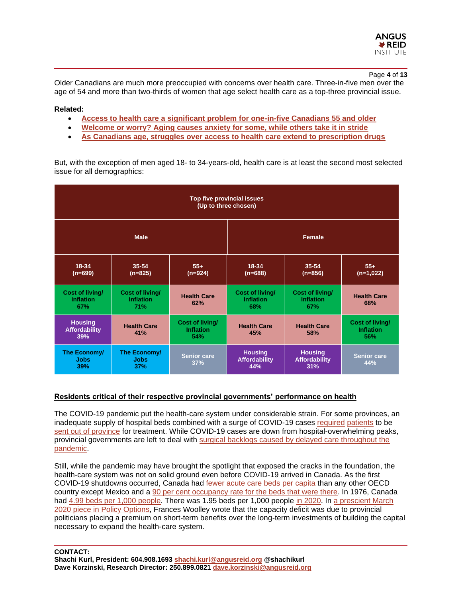

#### Page **4** of **13**

Older Canadians are much more preoccupied with concerns over health care. Three-in-five men over the age of 54 and more than two-thirds of women that age select health care as a top-three provincial issue.

#### **Related:**

- **[Access to health care a significant problem for one-in-five Canadians 55 and older](https://angusreid.org/senior-health-access/)**
- **[Welcome or worry? Aging causes anxiety for some, while others take it in stride](https://angusreid.org/health-aging/)**
- **[As Canadians age, struggles over access to health care extend to prescription drugs](https://angusreid.org/health-pharmacare/)**

But, with the exception of men aged 18- to 34-years-old, health care is at least the second most selected issue for all demographics:

| Top five provincial issues<br>(Up to three chosen) |                                                          |                           |                                               |                                               |                                            |  |  |
|----------------------------------------------------|----------------------------------------------------------|---------------------------|-----------------------------------------------|-----------------------------------------------|--------------------------------------------|--|--|
|                                                    | <b>Male</b>                                              |                           | <b>Female</b>                                 |                                               |                                            |  |  |
| 18-34<br>$(n=699)$                                 | 35-54<br>$(n=825)$                                       | $55+$<br>$(n=924)$        | 18-34<br>$(n=688)$                            | 35-54<br>$(n=856)$                            | $55+$<br>$(n=1,022)$                       |  |  |
| Cost of living/<br><b>Inflation</b><br>67%         | <b>Cost of living/</b><br><b>Inflation</b><br><b>71%</b> | <b>Health Care</b><br>62% | Cost of living/<br><b>Inflation</b><br>68%    | Cost of living/<br><b>Inflation</b><br>67%    | <b>Health Care</b><br>68%                  |  |  |
| <b>Housing</b><br><b>Affordability</b><br>39%      | <b>Health Care</b><br>41%                                |                           | <b>Health Care</b><br>45%                     | <b>Health Care</b><br>58%                     | Cost of living/<br><b>Inflation</b><br>56% |  |  |
| The Economy/<br><b>Jobs</b><br>39%                 | The Economy/<br><b>Jobs</b><br>37%                       | <b>Senior care</b><br>37% | <b>Housing</b><br><b>Affordability</b><br>44% | <b>Housing</b><br><b>Affordability</b><br>31% | <b>Senior care</b><br>44%                  |  |  |

#### **Residents critical of their respective provincial governments' performance on health**

The COVID-19 pandemic put the health-care system under considerable strain. For some provinces, an inadequate supply of hospital beds combined with a surge of COVID-19 cases [required](https://www.cbc.ca/news/canada/manitoba/sask-looking-send-covid-patients-manitoba-1.6211852) [patients](https://winnipeg.ctvnews.ca/manitoba-transferring-more-covid-19-patients-out-of-province-after-setting-icu-admission-record-1.5448839) to be [sent out of province](https://www.cbc.ca/news/canada/calgary/alberta-asks-ottawa-for-covid-19-help-1.6184484) for treatment. While COVID-19 cases are down from hospital-overwhelming peaks, provincial governments are left to deal with [surgical backlogs caused by delayed care throughout the](https://globalnews.ca/news/8776719/covid-canada-surgery-backlog-provinces/)  [pandemic.](https://globalnews.ca/news/8776719/covid-canada-surgery-backlog-provinces/)

Still, while the pandemic may have brought the spotlight that exposed the cracks in the foundation, the health-care system was not on solid ground even before COVID-19 arrived in Canada. As the first COVID-19 shutdowns occurred, Canada had [fewer acute care beds per capita](https://policyoptions.irpp.org/fr/magazines/march-2020/coronavirus-is-about-to-reveal-how-fragile-our-health-system-is/) than any other OECD country except Mexico and a [90 per cent occupancy rate for the beds that were there.](https://policyoptions.irpp.org/fr/magazines/march-2020/coronavirus-is-about-to-reveal-how-fragile-our-health-system-is/) In 1976, Canada had [4.99 beds per 1,000 people.](https://policyoptions.irpp.org/fr/magazines/march-2020/coronavirus-is-about-to-reveal-how-fragile-our-health-system-is/) There was 1.95 beds per 1,000 people [in 2020.](https://policyoptions.irpp.org/fr/magazines/march-2020/coronavirus-is-about-to-reveal-how-fragile-our-health-system-is/) In [a prescient March](https://policyoptions.irpp.org/fr/magazines/march-2020/coronavirus-is-about-to-reveal-how-fragile-our-health-system-is/)  2020 piece [in Policy Options,](https://policyoptions.irpp.org/fr/magazines/march-2020/coronavirus-is-about-to-reveal-how-fragile-our-health-system-is/) Frances Woolley wrote that the capacity deficit was due to provincial politicians placing a premium on short-term benefits over the long-term investments of building the capital necessary to expand the health-care system.

**CONTACT:**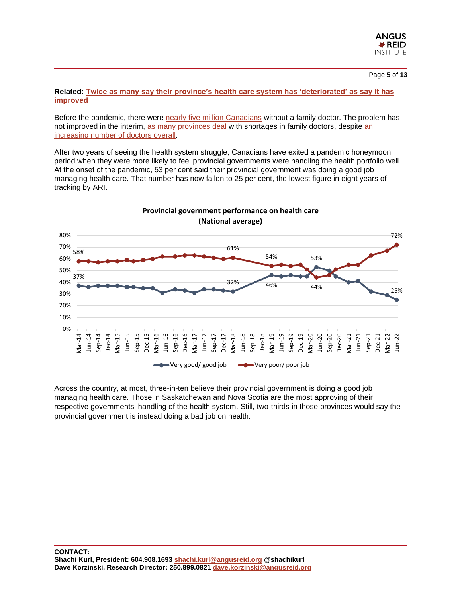

#### Page **5** of **13**

#### **Related: [Twice as many say their province's health care system has 'deteriorated' as say it has](https://angusreid.org/senior-health-access/)  [improved](https://angusreid.org/senior-health-access/)**

Before the pandemic, there were nearly [five million Canadians](https://www.ctvnews.ca/health/despite-more-doctors-many-canadians-don-t-have-a-family-physician-report-1.4611149) without a family doctor. The problem has not improved in the interim, [as](https://www.theglobeandmail.com/canada/british-columbia/article-western-canada-bc-grapples-with-a-family-doctor-shortage/) [many](https://www.tvo.org/article/where-the-parties-stand-on-doctor-shortages) [provinces](https://www.thestar.com/news/canada/2022/05/16/99-family-doctor-jobs-have-been-left-empty-in-canadas-yearly-hiring-of-medical-graduates.html) [deal](https://dailyhive.com/montreal/quebec-family-doctor-shortage) with shortages in family doctors, despite [an](https://www.ctvnews.ca/health/despite-more-doctors-many-canadians-don-t-have-a-family-physician-report-1.4611149)  [increasing number of doctors overall.](https://www.ctvnews.ca/health/despite-more-doctors-many-canadians-don-t-have-a-family-physician-report-1.4611149)

After two years of seeing the health system struggle, Canadians have exited a pandemic honeymoon period when they were more likely to feel provincial governments were handling the health portfolio well. At the onset of the pandemic, 53 per cent said their provincial government was doing a good job managing health care. That number has now fallen to 25 per cent, the lowest figure in eight years of tracking by ARI.



Across the country, at most, three-in-ten believe their provincial government is doing a good job managing health care. Those in Saskatchewan and Nova Scotia are the most approving of their respective governments' handling of the health system. Still, two-thirds in those provinces would say the provincial government is instead doing a bad job on health: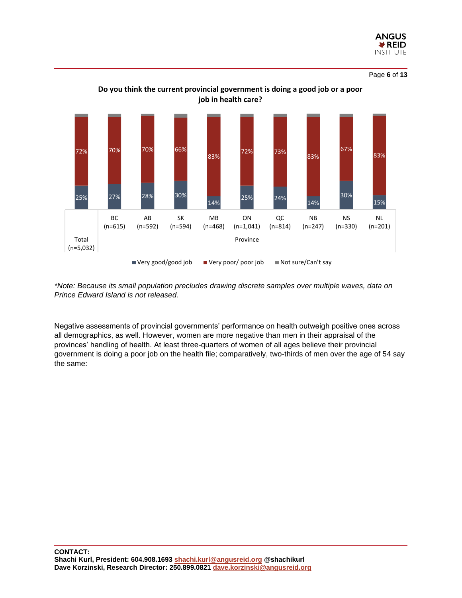

Page **6** of **13**



# **Do you think the current provincial government is doing a good job or a poor job in health care?**

*\*Note: Because its small population precludes drawing discrete samples over multiple waves, data on Prince Edward Island is not released.*

Negative assessments of provincial governments' performance on health outweigh positive ones across all demographics, as well. However, women are more negative than men in their appraisal of the provinces' handling of health. At least three-quarters of women of all ages believe their provincial government is doing a poor job on the health file; comparatively, two-thirds of men over the age of 54 say the same: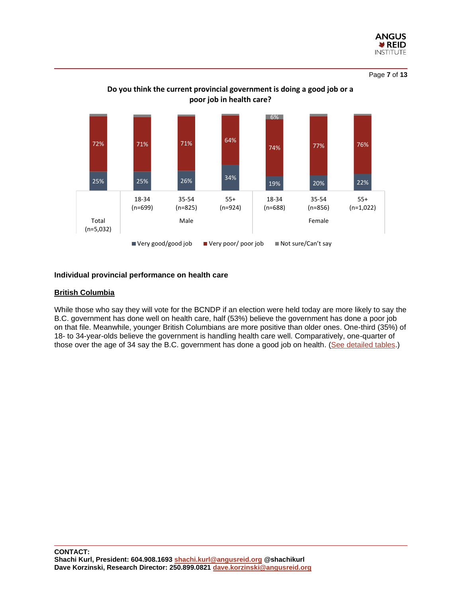

Page **7** of **13**



# **Do you think the current provincial government is doing a good job or a poor job in health care?**

#### **Individual provincial performance on health care**

#### **British Columbia**

While those who say they will vote for the BCNDP if an election were held today are more likely to say the B.C. government has done well on health care, half (53%) believe the government has done a poor job on that file. Meanwhile, younger British Columbians are more positive than older ones. One-third (35%) of 18- to 34-year-olds believe the government is handling health care well. Comparatively, one-quarter of those over the age of 34 say the B.C. government has done a good job on health. [\(See detailed tables.](https://angusreid.org/wp-content/uploads/2022/06/2022.06.21_Health_care_province_tables.pdf))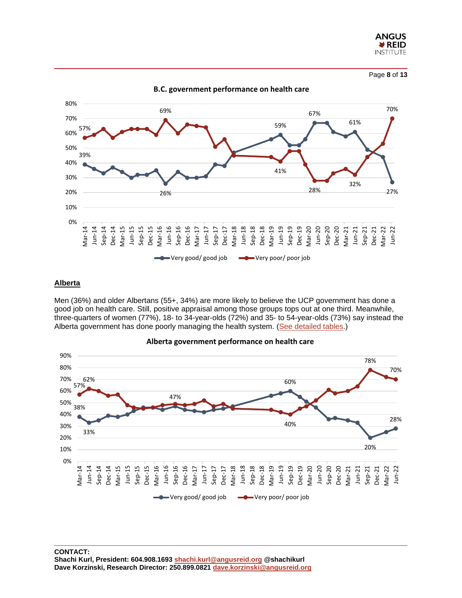

Page **8** of **13**



#### **Alberta**

Men (36%) and older Albertans (55+, 34%) are more likely to believe the UCP government has done a good job on health care. Still, positive appraisal among those groups tops out at one third. Meanwhile, three-quarters of women (77%), 18- to 34-year-olds (72%) and 35- to 54-year-olds (73%) say instead the Alberta government has done poorly managing the health system. [\(See detailed tables.](https://angusreid.org/wp-content/uploads/2022/06/2022.06.21_Health_care_province_tables.pdf))



#### **Alberta government performance on health care**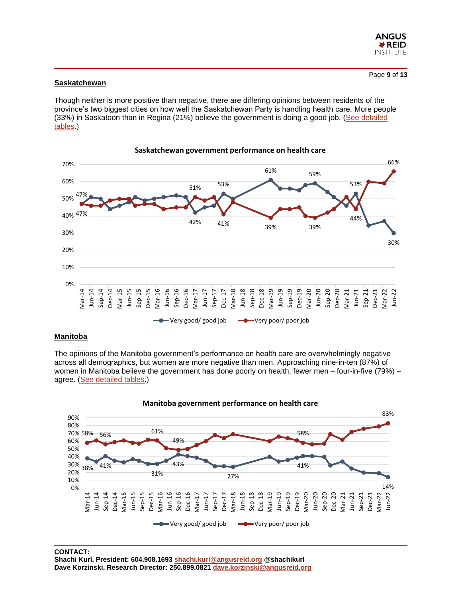

#### **Saskatchewan**

Though neither is more positive than negative, there are differing opinions between residents of the province's two biggest cities on how well the Saskatchewan Party is handling health care. More people (33%) in Saskatoon than in Regina (21%) believe the government is doing a good job. [\(See detailed](https://angusreid.org/wp-content/uploads/2022/06/2022.06.21_Health_care_province_tables.pdf)  [tables.](https://angusreid.org/wp-content/uploads/2022/06/2022.06.21_Health_care_province_tables.pdf))



## **Saskatchewan government performance on health care**

#### **Manitoba**

The opinions of the Manitoba government's performance on health care are overwhelmingly negative across all demographics, but women are more negative than men. Approaching nine-in-ten (87%) of women in Manitoba believe the government has done poorly on health; fewer men – four-in-five (79%) – agree. [\(See detailed tables.](https://angusreid.org/wp-content/uploads/2022/06/2022.06.21_Health_care_province_tables.pdf))



**CONTACT:**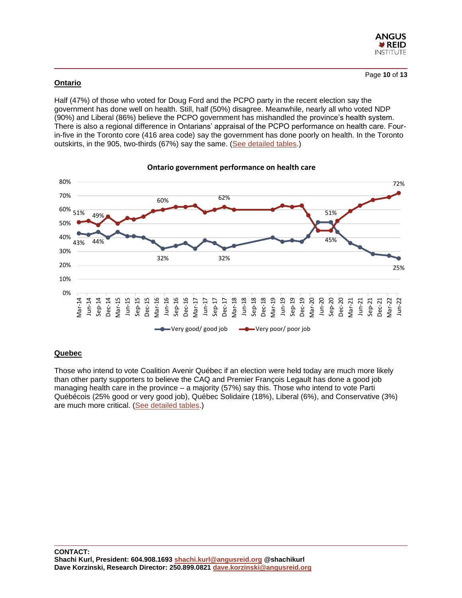

#### **Ontario**

Half (47%) of those who voted for Doug Ford and the PCPO party in the recent election say the government has done well on health. Still, half (50%) disagree. Meanwhile, nearly all who voted NDP (90%) and Liberal (86%) believe the PCPO government has mishandled the province's health system. There is also a regional difference in Ontarians' appraisal of the PCPO performance on health care. Fourin-five in the Toronto core (416 area code) say the government has done poorly on health. In the Toronto outskirts, in the 905, two-thirds (67%) say the same. [\(See detailed tables.](https://angusreid.org/wp-content/uploads/2022/06/2022.06.21_Health_care_province_tables.pdf))



#### **Ontario government performance on health care**

# **Quebec**

Those who intend to vote Coalition Avenir Québec if an election were held today are much more likely than other party supporters to believe the CAQ and Premier François Legault has done a good job managing health care in the province – a majority (57%) say this. Those who intend to vote Parti Québécois (25% good or very good job), Québec Solidaire (18%), Liberal (6%), and Conservative (3%) are much more critical. [\(See detailed tables.](https://angusreid.org/wp-content/uploads/2022/06/2022.06.21_Health_care_province_tables.pdf))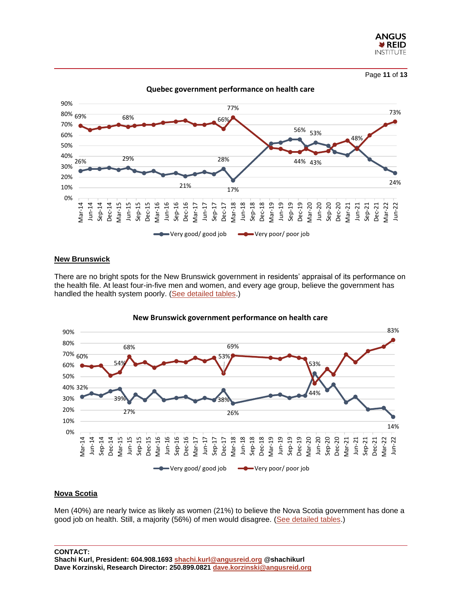

Page **11** of **13**

26% 29% 21% 28% 17% 56% 53% 48% 24% 69% 68% 66% 77% 44% 43% 73% 0% 10% 20% 30% 40% 50% 60% 70% 80% 69% 90% Mar-14 Jun-14 Sep-14 Dec-14 Mar-15 Jun-15 Sep-15 Dec-15 Mar-16 Jun-16 Sep-16 Dec-16 Mar-17 Jun-17 Sep-17 Dec-17 Mar-18 Jun-18 Sep-18 Dec-18 Mar-19 Jun-19 Sep-19 Dec-19 Mar-20 Jun-20 Sep-20 Dec-20 Mar-21 Jun-21 Sep-21 Dec-21 Mar-22 Jun-22 **Quebec government performance on health care** Very good/ good job Very poor/ poor job

#### **New Brunswick**

There are no bright spots for the New Brunswick government in residents' appraisal of its performance on the health file. At least four-in-five men and women, and every age group, believe the government has handled the health system poorly. [\(See detailed tables.](https://angusreid.org/wp-content/uploads/2022/06/2022.06.21_Health_care_province_tables.pdf))



#### **New Brunswick government performance on health care**

#### **Nova Scotia**

Men (40%) are nearly twice as likely as women (21%) to believe the Nova Scotia government has done a good job on health. Still, a majority (56%) of men would disagree. [\(See detailed tables.](https://angusreid.org/wp-content/uploads/2022/06/2022.06.21_Health_care_province_tables.pdf))

#### **CONTACT:**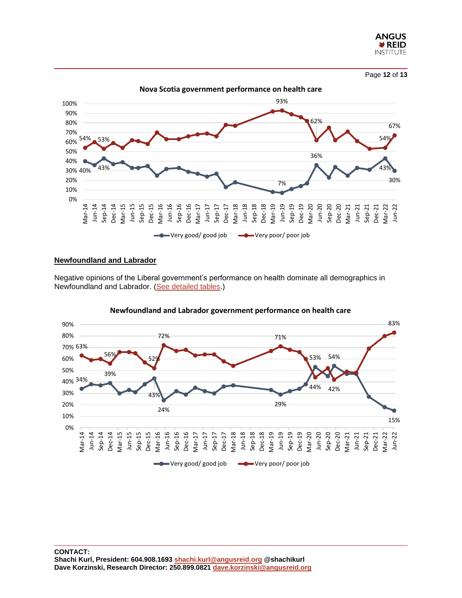



#### **Newfoundland and Labrador**

Negative opinions of the Liberal government's performance on health dominate all demographics in Newfoundland and Labrador. [\(See detailed tables.](https://angusreid.org/wp-content/uploads/2022/06/2022.06.21_Health_care_province_tables.pdf))



#### **Newfoundland and Labrador government performance on health care**